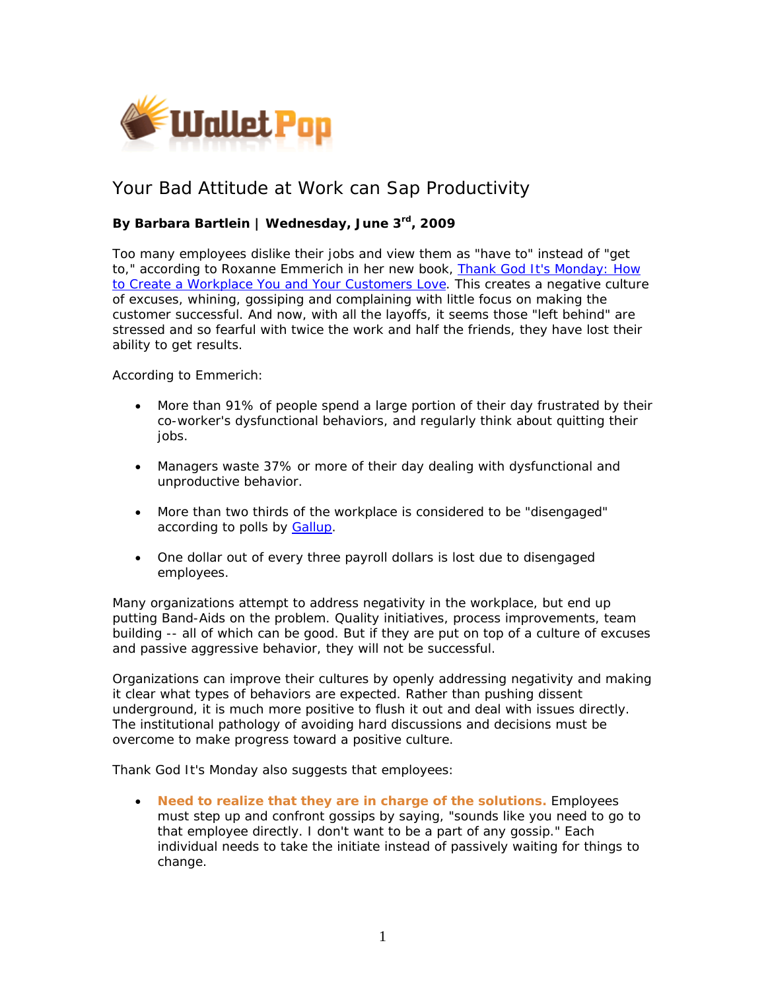

## Your Bad Attitude at Work can Sap Productivity

## **By Barbara Bartlein | Wednesday, June 3rd, 2009**

Too many employees dislike their jobs and view them as "have to" instead of "get to," according to Roxanne Emmerich in her new book, *[Thank God It's Monday: How](http://www.amazon.com/Thank-God-Its-Monday-Workplace/dp/0138158053/ref=sr_1_1?ie=UTF8&s=books&qid=1243444662&sr=8-1)  [to Create a Workplace You and Your Customers Love](http://www.amazon.com/Thank-God-Its-Monday-Workplace/dp/0138158053/ref=sr_1_1?ie=UTF8&s=books&qid=1243444662&sr=8-1)*. This creates a negative culture of excuses, whining, gossiping and complaining with little focus on making the customer successful. And now, with all the layoffs, it seems those "left behind" are stressed and so fearful with twice the work and half the friends, they have lost their ability to get results.

According to Emmerich:

- More than 91% of people spend a large portion of their day frustrated by their co-worker's dysfunctional behaviors, and regularly think about quitting their jobs.
- Managers waste 37% or more of their day dealing with dysfunctional and unproductive behavior.
- More than two thirds of the workplace is considered to be "disengaged" according to polls by [Gallup](http://www.gallup.com/consulting/52/Employee-Engagement.aspx?CSTS=wwwsitemap&to=FNCPRC-Employee-Engagement).
- One dollar out of every three payroll dollars is lost due to disengaged employees.

Many organizations attempt to address negativity in the workplace, but end up putting Band-Aids on the problem. Quality initiatives, process improvements, team building -- all of which can be good. But if they are put on top of a culture of excuses and passive aggressive behavior, they will not be successful.

Organizations can improve their cultures by openly addressing negativity and making it clear what types of behaviors are expected. Rather than pushing dissent underground, it is much more positive to flush it out and deal with issues directly. The institutional pathology of avoiding hard discussions and decisions must be overcome to make progress toward a positive culture.

*Thank God It's Monday* also suggests that employees:

• *Need to realize that they are in charge of the solutions.* Employees must step up and confront gossips by saying, "sounds like you need to go to that employee directly. I don't want to be a part of any gossip." Each individual needs to take the initiate instead of passively waiting for things to change.